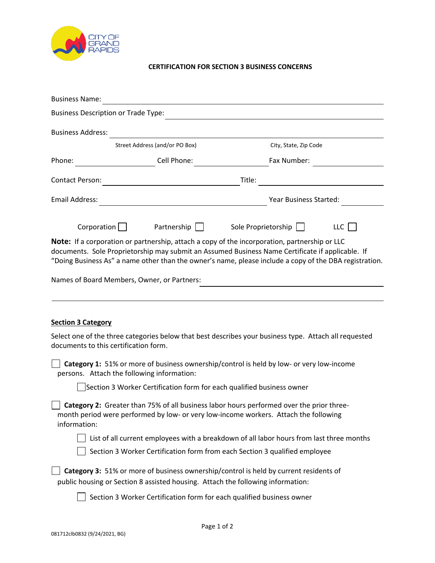

## **CERTIFICATION FOR SECTION 3 BUSINESS CONCERNS**

| City, State, Zip Code                                                                                                                                                                                                                                                                                       |  |  |  |
|-------------------------------------------------------------------------------------------------------------------------------------------------------------------------------------------------------------------------------------------------------------------------------------------------------------|--|--|--|
| Fax Number:                                                                                                                                                                                                                                                                                                 |  |  |  |
|                                                                                                                                                                                                                                                                                                             |  |  |  |
| Year Business Started:                                                                                                                                                                                                                                                                                      |  |  |  |
| Sole Proprietorship    <br>LLC                                                                                                                                                                                                                                                                              |  |  |  |
| Note: If a corporation or partnership, attach a copy of the incorporation, partnership or LLC<br>documents. Sole Proprietorship may submit an Assumed Business Name Certificate if applicable. If<br>"Doing Business As" a name other than the owner's name, please include a copy of the DBA registration. |  |  |  |
|                                                                                                                                                                                                                                                                                                             |  |  |  |
|                                                                                                                                                                                                                                                                                                             |  |  |  |
|                                                                                                                                                                                                                                                                                                             |  |  |  |
| Select one of the three categories below that best describes your business type. Attach all requested                                                                                                                                                                                                       |  |  |  |
| <b>Category 1:</b> 51% or more of business ownership/control is held by low- or very low-income<br>persons. Attach the following information:                                                                                                                                                               |  |  |  |
| Section 3 Worker Certification form for each qualified business owner                                                                                                                                                                                                                                       |  |  |  |
| Category 2: Greater than 75% of all business labor hours performed over the prior three-<br>month period were performed by low- or very low-income workers. Attach the following<br>information:                                                                                                            |  |  |  |
| List of all current employees with a breakdown of all labor hours from last three months                                                                                                                                                                                                                    |  |  |  |
| Section 3 Worker Certification form from each Section 3 qualified employee                                                                                                                                                                                                                                  |  |  |  |
| Category 3: 51% or more of business ownership/control is held by current residents of<br>public housing or Section 8 assisted housing. Attach the following information:<br>Section 3 Worker Certification form for each qualified business owner                                                           |  |  |  |
|                                                                                                                                                                                                                                                                                                             |  |  |  |